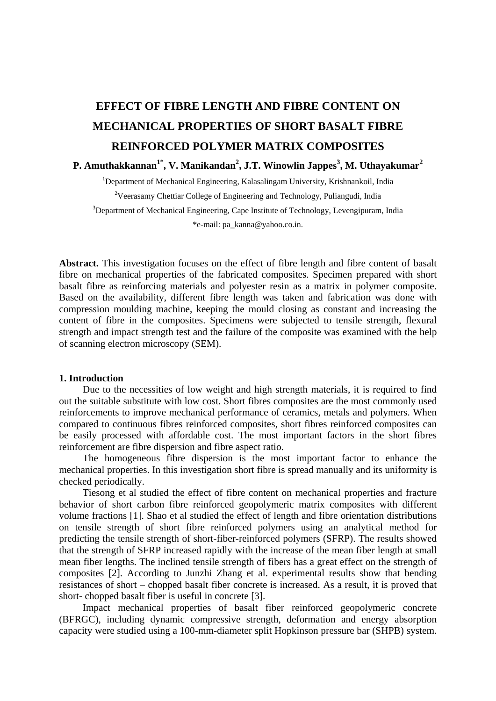# **EFFECT OF FIBRE LENGTH AND FIBRE CONTENT ON MECHANICAL PROPERTIES OF SHORT BASALT FIBRE REINFORCED POLYMER MATRIX COMPOSITES**

## **P. Amuthakkannan1\*, V. Manikandan2 , J.T. Winowlin Jappes<sup>3</sup> , M. Uthayakumar<sup>2</sup>**

<sup>1</sup>Department of Mechanical Engineering, Kalasalingam University, Krishnankoil, India <sup>2</sup>Veerasamy Chettiar College of Engineering and Technology, Puliangudi, India <sup>3</sup>Department of Mechanical Engineering, Cape Institute of Technology, Levengipuram, India \*e-mail: pa\_kanna@yahoo.co.in.

**Abstract.** This investigation focuses on the effect of fibre length and fibre content of basalt fibre on mechanical properties of the fabricated composites. Specimen prepared with short basalt fibre as reinforcing materials and polyester resin as a matrix in polymer composite. Based on the availability, different fibre length was taken and fabrication was done with compression moulding machine, keeping the mould closing as constant and increasing the content of fibre in the composites. Specimens were subjected to tensile strength, flexural strength and impact strength test and the failure of the composite was examined with the help of scanning electron microscopy (SEM).

#### **1. Introduction**

Due to the necessities of low weight and high strength materials, it is required to find out the suitable substitute with low cost. Short fibres composites are the most commonly used reinforcements to improve mechanical performance of ceramics, metals and polymers. When compared to continuous fibres reinforced composites, short fibres reinforced composites can be easily processed with affordable cost. The most important factors in the short fibres reinforcement are fibre dispersion and fibre aspect ratio.

The homogeneous fibre dispersion is the most important factor to enhance the mechanical properties. In this investigation short fibre is spread manually and its uniformity is checked periodically.

Tiesong et al studied the effect of fibre content on mechanical properties and fracture behavior of short carbon fibre reinforced geopolymeric matrix composites with different volume fractions [1]. Shao et al studied the effect of length and fibre orientation distributions on tensile strength of short fibre reinforced polymers using an analytical method for predicting the tensile strength of short-fiber-reinforced polymers (SFRP). The results showed that the strength of SFRP increased rapidly with the increase of the mean fiber length at small mean fiber lengths. The inclined tensile strength of fibers has a great effect on the strength of composites [2]. According to Junzhi Zhang et al. experimental results show that bending resistances of short – chopped basalt fiber concrete is increased. As a result, it is proved that short- chopped basalt fiber is useful in concrete [3].

Impact mechanical properties of basalt fiber reinforced geopolymeric concrete (BFRGC), including dynamic compressive strength, deformation and energy absorption capacity were studied using a 100-mm-diameter split Hopkinson pressure bar (SHPB) system.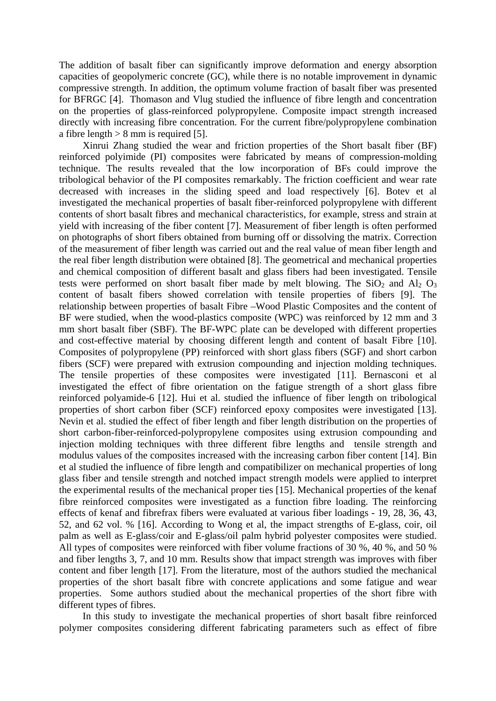The addition of basalt fiber can significantly improve deformation and energy absorption capacities of geopolymeric concrete (GC), while there is no notable improvement in dynamic compressive strength. In addition, the optimum volume fraction of basalt fiber was presented for BFRGC [4]. Thomason and Vlug studied the influence of fibre length and concentration on the properties of glass-reinforced polypropylene. Composite impact strength increased directly with increasing fibre concentration. For the current fibre/polypropylene combination a fibre length  $> 8$  mm is required [5].

Xinrui Zhang studied the wear and friction properties of the Short basalt fiber (BF) reinforced polyimide (PI) composites were fabricated by means of compression-molding technique. The results revealed that the low incorporation of BFs could improve the tribological behavior of the PI composites remarkably. The friction coefficient and wear rate decreased with increases in the sliding speed and load respectively [6]. Botev et al investigated the mechanical properties of basalt fiber-reinforced polypropylene with different contents of short basalt fibres and mechanical characteristics, for example, stress and strain at yield with increasing of the fiber content [7]. Measurement of fiber length is often performed on photographs of short fibers obtained from burning off or dissolving the matrix. Correction of the measurement of fiber length was carried out and the real value of mean fiber length and the real fiber length distribution were obtained [8]. The geometrical and mechanical properties and chemical composition of different basalt and glass fibers had been investigated. Tensile tests were performed on short basalt fiber made by melt blowing. The  $SiO_2$  and  $Al_2 O_3$ content of basalt fibers showed correlation with tensile properties of fibers [9]. The relationship between properties of basalt Fibre –Wood Plastic Composites and the content of BF were studied, when the wood-plastics composite (WPC) was reinforced by 12 mm and 3 mm short basalt fiber (SBF). The BF-WPC plate can be developed with different properties and cost-effective material by choosing different length and content of basalt Fibre [10]. Composites of polypropylene (PP) reinforced with short glass fibers (SGF) and short carbon fibers (SCF) were prepared with extrusion compounding and injection molding techniques. The tensile properties of these composites were investigated [11]. Bernasconi et al investigated the effect of fibre orientation on the fatigue strength of a short glass fibre reinforced polyamide-6 [12]. Hui et al. studied the influence of fiber length on tribological properties of short carbon fiber (SCF) reinforced epoxy composites were investigated [13]. Nevin et al. studied the effect of fiber length and fiber length distribution on the properties of short carbon-fiber-reinforced-polypropylene composites using extrusion compounding and injection molding techniques with three different fibre lengths and tensile strength and modulus values of the composites increased with the increasing carbon fiber content [14]. Bin et al studied the influence of fibre length and compatibilizer on mechanical properties of long glass fiber and tensile strength and notched impact strength models were applied to interpret the experimental results of the mechanical proper ties [15]. Mechanical properties of the kenaf fibre reinforced composites were investigated as a function fibre loading. The reinforcing effects of kenaf and fibrefrax fibers were evaluated at various fiber loadings - 19, 28, 36, 43, 52, and 62 vol. % [16]. According to Wong et al, the impact strengths of E-glass, coir, oil palm as well as E-glass/coir and E-glass/oil palm hybrid polyester composites were studied. All types of composites were reinforced with fiber volume fractions of 30 %, 40 %, and 50 % and fiber lengths 3, 7, and 10 mm. Results show that impact strength was improves with fiber content and fiber length [17]. From the literature, most of the authors studied the mechanical properties of the short basalt fibre with concrete applications and some fatigue and wear properties. Some authors studied about the mechanical properties of the short fibre with different types of fibres.

In this study to investigate the mechanical properties of short basalt fibre reinforced polymer composites considering different fabricating parameters such as effect of fibre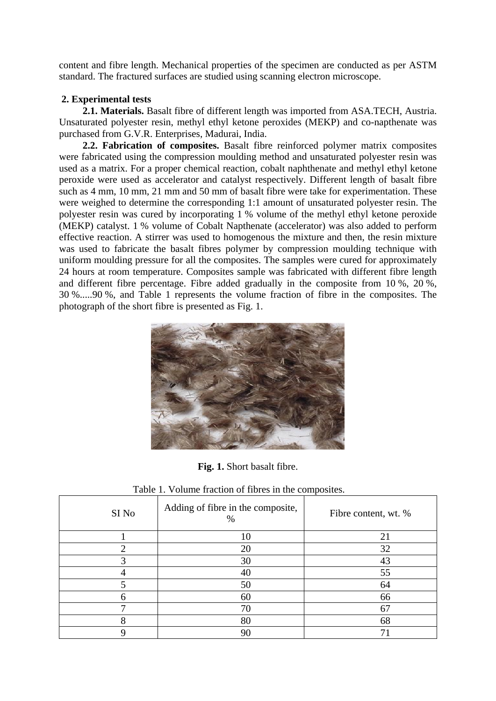content and fibre length. Mechanical properties of the specimen are conducted as per ASTM standard. The fractured surfaces are studied using scanning electron microscope.

## **2. Experimental tests**

**2.1. Materials.** Basalt fibre of different length was imported from ASA.TECH, Austria. Unsaturated polyester resin, methyl ethyl ketone peroxides (MEKP) and co-napthenate was purchased from G.V.R. Enterprises, Madurai, India.

**2.2. Fabrication of composites.** Basalt fibre reinforced polymer matrix composites were fabricated using the compression moulding method and unsaturated polyester resin was used as a matrix. For a proper chemical reaction, cobalt naphthenate and methyl ethyl ketone peroxide were used as accelerator and catalyst respectively. Different length of basalt fibre such as 4 mm, 10 mm, 21 mm and 50 mm of basalt fibre were take for experimentation. These were weighed to determine the corresponding 1:1 amount of unsaturated polyester resin. The polyester resin was cured by incorporating 1 % volume of the methyl ethyl ketone peroxide (MEKP) catalyst. 1 % volume of Cobalt Napthenate (accelerator) was also added to perform effective reaction. A stirrer was used to homogenous the mixture and then, the resin mixture was used to fabricate the basalt fibres polymer by compression moulding technique with uniform moulding pressure for all the composites. The samples were cured for approximately 24 hours at room temperature. Composites sample was fabricated with different fibre length and different fibre percentage. Fibre added gradually in the composite from 10 %, 20 %, 30 %.....90 %, and Table 1 represents the volume fraction of fibre in the composites. The photograph of the short fibre is presented as Fig. 1.



**Fig. 1.** Short basalt fibre.

| SI No | Adding of fibre in the composite,<br>$\%$ | Fibre content, wt. % |
|-------|-------------------------------------------|----------------------|
|       | 10                                        | 21                   |
|       | 20                                        | 32                   |
| 3     | 30                                        | 43                   |
|       | 40                                        | 55                   |
| 5     | 50                                        | 64                   |
| 6     | 60                                        | 66                   |
| −     | 70                                        | 67                   |
| 8     | 80                                        | 68                   |
| q     | 90                                        |                      |

Table 1. Volume fraction of fibres in the composites.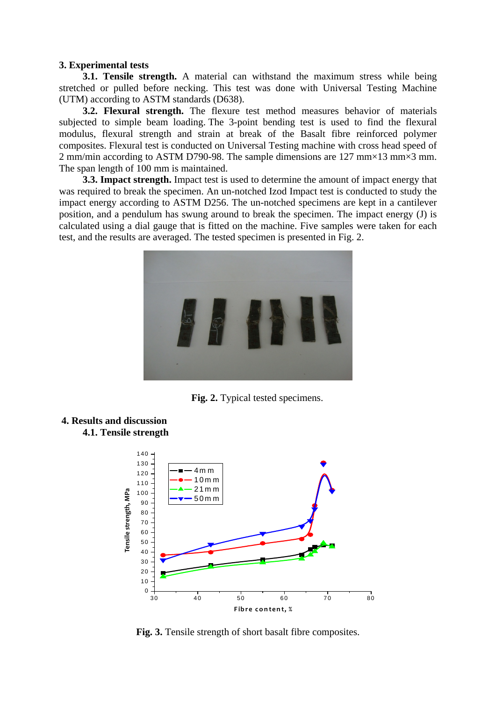#### **3. Experimental tests**

**3.1. Tensile strength.** A material can withstand the maximum stress while being stretched or pulled before necking. This test was done with Universal Testing Machine (UTM) according to ASTM standards (D638).

**3.2. Flexural strength.** The flexure test method measures behavior of materials subjected to simple beam loading. The 3-point bending test is used to find the flexural modulus, flexural strength and strain at break of the Basalt fibre reinforced polymer composites. Flexural test is conducted on Universal Testing machine with cross head speed of 2 mm/min according to ASTM D790-98. The sample dimensions are 127 mm×13 mm×3 mm. The span length of 100 mm is maintained.

**3.3. Impact strength.** Impact test is used to determine the amount of impact energy that was required to break the specimen. An un-notched Izod Impact test is conducted to study the impact energy according to ASTM D256. The un-notched specimens are kept in a cantilever position, and a pendulum has swung around to break the specimen. The impact energy (J) is calculated using a dial gauge that is fitted on the machine. Five samples were taken for each test, and the results are averaged. The tested specimen is presented in Fig. 2.



Fig. 2. Typical tested specimens.



## **4. Results and discussion 4.1. Tensile strength**

**Fig. 3.** Tensile strength of short basalt fibre composites.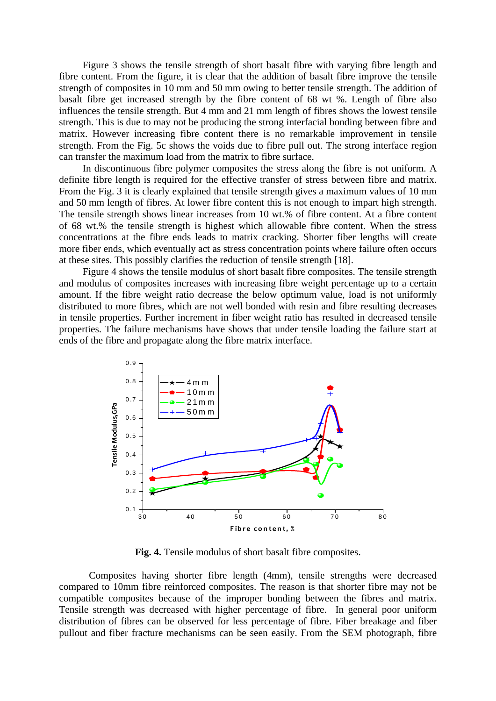Figure 3 shows the tensile strength of short basalt fibre with varying fibre length and fibre content. From the figure, it is clear that the addition of basalt fibre improve the tensile strength of composites in 10 mm and 50 mm owing to better tensile strength. The addition of basalt fibre get increased strength by the fibre content of 68 wt %. Length of fibre also influences the tensile strength. But 4 mm and 21 mm length of fibres shows the lowest tensile strength. This is due to may not be producing the strong interfacial bonding between fibre and matrix. However increasing fibre content there is no remarkable improvement in tensile strength. From the Fig. 5c shows the voids due to fibre pull out. The strong interface region can transfer the maximum load from the matrix to fibre surface.

In discontinuous fibre polymer composites the stress along the fibre is not uniform. A definite fibre length is required for the effective transfer of stress between fibre and matrix. From the Fig. 3 it is clearly explained that tensile strength gives a maximum values of 10 mm and 50 mm length of fibres. At lower fibre content this is not enough to impart high strength. The tensile strength shows linear increases from 10 wt.% of fibre content. At a fibre content of 68 wt.% the tensile strength is highest which allowable fibre content. When the stress concentrations at the fibre ends leads to matrix cracking. Shorter fiber lengths will create more fiber ends, which eventually act as stress concentration points where failure often occurs at these sites. This possibly clarifies the reduction of tensile strength [18].

Figure 4 shows the tensile modulus of short basalt fibre composites. The tensile strength and modulus of composites increases with increasing fibre weight percentage up to a certain amount. If the fibre weight ratio decrease the below optimum value, load is not uniformly distributed to more fibres, which are not well bonded with resin and fibre resulting decreases in tensile properties. Further increment in fiber weight ratio has resulted in decreased tensile properties. The failure mechanisms have shows that under tensile loading the failure start at ends of the fibre and propagate along the fibre matrix interface.



**Fig. 4.** Tensile modulus of short basalt fibre composites.

Composites having shorter fibre length (4mm), tensile strengths were decreased compared to 10mm fibre reinforced composites. The reason is that shorter fibre may not be compatible composites because of the improper bonding between the fibres and matrix. Tensile strength was decreased with higher percentage of fibre. In general poor uniform distribution of fibres can be observed for less percentage of fibre. Fiber breakage and fiber pullout and fiber fracture mechanisms can be seen easily. From the SEM photograph, fibre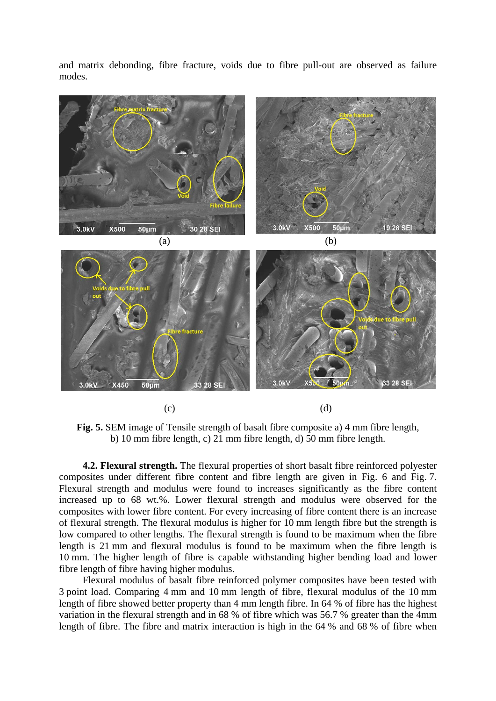and matrix debonding, fibre fracture, voids due to fibre pull-out are observed as failure modes.



(c) (d)



**4.2. Flexural strength.** The flexural properties of short basalt fibre reinforced polyester composites under different fibre content and fibre length are given in Fig. 6 and Fig. 7. Flexural strength and modulus were found to increases significantly as the fibre content increased up to 68 wt.%. Lower flexural strength and modulus were observed for the composites with lower fibre content. For every increasing of fibre content there is an increase of flexural strength. The flexural modulus is higher for 10 mm length fibre but the strength is low compared to other lengths. The flexural strength is found to be maximum when the fibre length is 21 mm and flexural modulus is found to be maximum when the fibre length is 10 mm. The higher length of fibre is capable withstanding higher bending load and lower fibre length of fibre having higher modulus.

Flexural modulus of basalt fibre reinforced polymer composites have been tested with 3 point load. Comparing 4 mm and 10 mm length of fibre, flexural modulus of the 10 mm length of fibre showed better property than 4 mm length fibre. In 64 % of fibre has the highest variation in the flexural strength and in 68 % of fibre which was 56.7 % greater than the 4mm length of fibre. The fibre and matrix interaction is high in the 64 % and 68 % of fibre when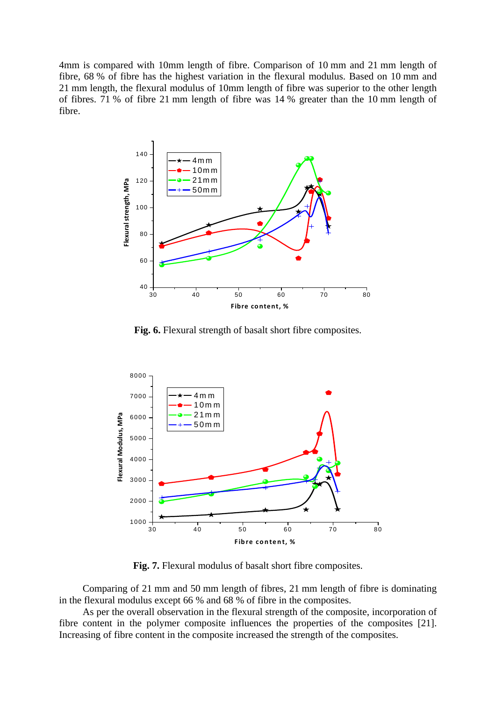4mm is compared with 10mm length of fibre. Comparison of 10 mm and 21 mm length of fibre, 68 % of fibre has the highest variation in the flexural modulus. Based on 10 mm and 21 mm length, the flexural modulus of 10mm length of fibre was superior to the other length of fibres. 71 % of fibre 21 mm length of fibre was 14 % greater than the 10 mm length of fibre.



**Fig. 6.** Flexural strength of basalt short fibre composites.



**Fig. 7.** Flexural modulus of basalt short fibre composites.

Comparing of 21 mm and 50 mm length of fibres, 21 mm length of fibre is dominating in the flexural modulus except 66 % and 68 % of fibre in the composites.

As per the overall observation in the flexural strength of the composite, incorporation of fibre content in the polymer composite influences the properties of the composites [21]. Increasing of fibre content in the composite increased the strength of the composites.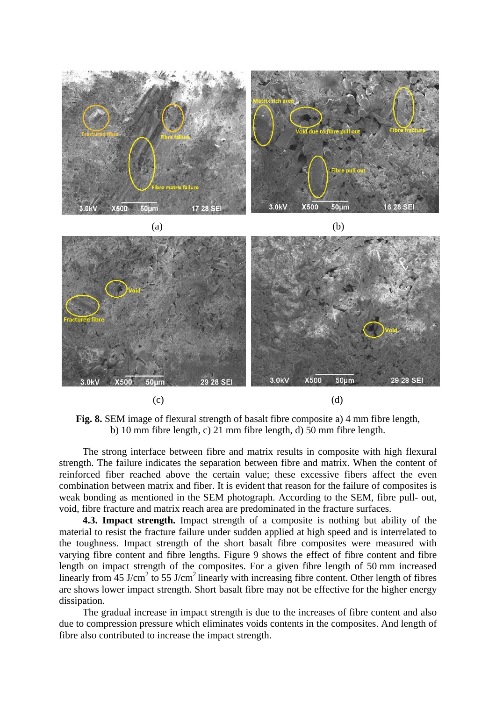

**Fig. 8.** SEM image of flexural strength of basalt fibre composite a) 4 mm fibre length, b) 10 mm fibre length, c) 21 mm fibre length, d) 50 mm fibre length.

The strong interface between fibre and matrix results in composite with high flexural strength. The failure indicates the separation between fibre and matrix. When the content of reinforced fiber reached above the certain value; these excessive fibers affect the even combination between matrix and fiber. It is evident that reason for the failure of composites is weak bonding as mentioned in the SEM photograph. According to the SEM, fibre pull- out, void, fibre fracture and matrix reach area are predominated in the fracture surfaces.

**4.3. Impact strength.** Impact strength of a composite is nothing but ability of the material to resist the fracture failure under sudden applied at high speed and is interrelated to the toughness. Impact strength of the short basalt fibre composites were measured with varying fibre content and fibre lengths. Figure 9 shows the effect of fibre content and fibre length on impact strength of the composites. For a given fibre length of 50 mm increased linearly from 45 J/cm<sup>2</sup> to 55 J/cm<sup>2</sup> linearly with increasing fibre content. Other length of fibres are shows lower impact strength. Short basalt fibre may not be effective for the higher energy dissipation.

The gradual increase in impact strength is due to the increases of fibre content and also due to compression pressure which eliminates voids contents in the composites. And length of fibre also contributed to increase the impact strength.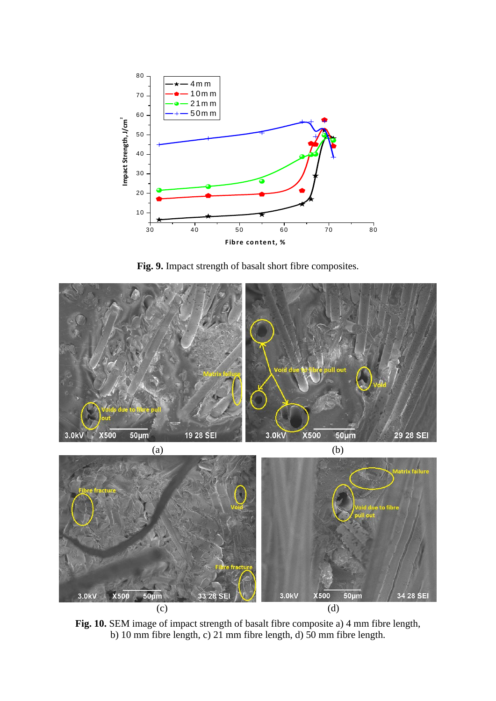

**Fig. 9.** Impact strength of basalt short fibre composites.



Fig. 10. SEM image of impact strength of basalt fibre composite a) 4 mm fibre length, b) 10 mm fibre length, c) 21 mm fibre length, d) 50 mm fibre length.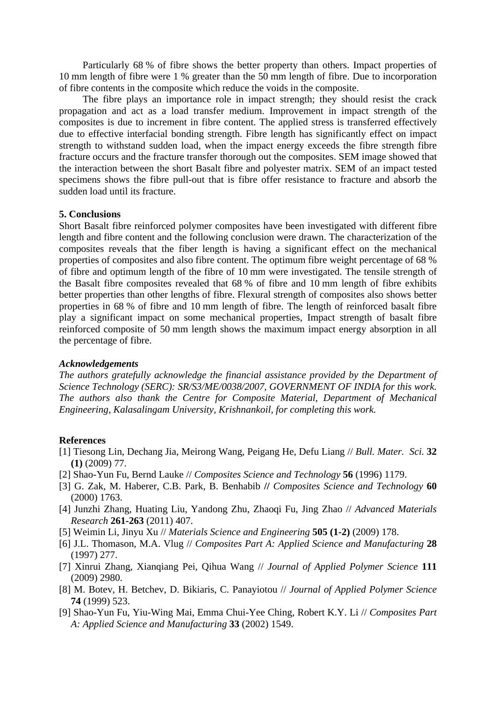Particularly 68 % of fibre shows the better property than others. Impact properties of 10 mm length of fibre were 1 % greater than the 50 mm length of fibre. Due to incorporation of fibre contents in the composite which reduce the voids in the composite.

The fibre plays an importance role in impact strength; they should resist the crack propagation and act as a load transfer medium. Improvement in impact strength of the composites is due to increment in fibre content. The applied stress is transferred effectively due to effective interfacial bonding strength. Fibre length has significantly effect on impact strength to withstand sudden load, when the impact energy exceeds the fibre strength fibre fracture occurs and the fracture transfer thorough out the composites. SEM image showed that the interaction between the short Basalt fibre and polyester matrix. SEM of an impact tested specimens shows the fibre pull-out that is fibre offer resistance to fracture and absorb the sudden load until its fracture.

#### **5. Conclusions**

Short Basalt fibre reinforced polymer composites have been investigated with different fibre length and fibre content and the following conclusion were drawn. The characterization of the composites reveals that the fiber length is having a significant effect on the mechanical properties of composites and also fibre content. The optimum fibre weight percentage of 68 % of fibre and optimum length of the fibre of 10 mm were investigated. The tensile strength of the Basalt fibre composites revealed that 68 % of fibre and 10 mm length of fibre exhibits better properties than other lengths of fibre. Flexural strength of composites also shows better properties in 68 % of fibre and 10 mm length of fibre. The length of reinforced basalt fibre play a significant impact on some mechanical properties, Impact strength of basalt fibre reinforced composite of 50 mm length shows the maximum impact energy absorption in all the percentage of fibre.

#### *Acknowledgements*

*The authors gratefully acknowledge the financial assistance provided by the Department of Science Technology (SERC): SR/S3/ME/0038/2007, GOVERNMENT OF INDIA for this work. The authors also thank the Centre for Composite Material, Department of Mechanical Engineering, Kalasalingam University, Krishnankoil, for completing this work.* 

#### **References**

- [1] Tiesong Lin, Dechang Jia, Meirong Wang, Peigang He, Defu Liang // *Bull. Mater. Sci.* **32 (1)** (2009) 77.
- [2] Shao-Yun Fu, Bernd Lauke // *Composites Science and Technology* **56** (1996) 1179.
- [3] G. Zak, M. Haberer, C.B. Park, B. Benhabib **//** *Composites Science and Technology* **60** (2000) 1763.
- [4] Junzhi Zhang, Huating Liu, Yandong Zhu, Zhaoqi Fu, Jing Zhao // *Advanced Materials Research* **261-263** (2011) 407.
- [5] Weimin Li, Jinyu Xu // *Materials Science and Engineering* **505 (1-2)** (2009) 178.
- [6] J.L. Thomason, M.A. Vlug // *Composites Part A: Applied Science and Manufacturing* **28** (1997) 277.
- [7] Xinrui Zhang, Xianqiang Pei, Qihua Wang // *Journal of Applied Polymer Science* **111** (2009) 2980.
- [8] M. Botev, H. Betchev, D. Bikiaris, C. Panayiotou // *Journal of Applied Polymer Science* **74** (1999) 523.
- [9] Shao-Yun Fu, Yiu-Wing Mai, Emma Chui-Yee Ching, Robert K.Y. Li // *Composites Part A: Applied Science and Manufacturing* **33** (2002) 1549.